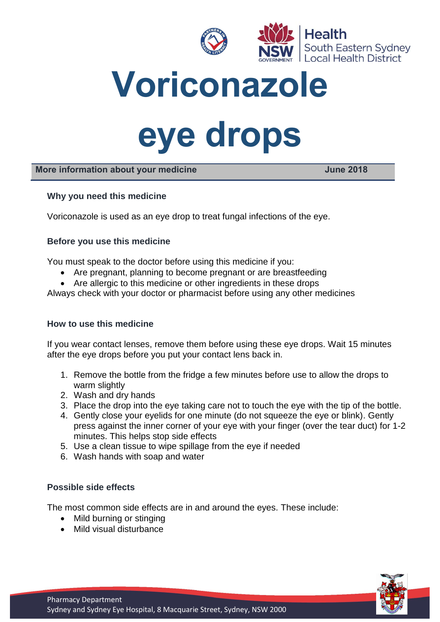

**Voriconazole** 

# **eye drops**

# **More information about your medicine June 2018**

## **Why you need this medicine**

Voriconazole is used as an eye drop to treat fungal infections of the eye.

## **Before you use this medicine**

You must speak to the doctor before using this medicine if you:

- Are pregnant, planning to become pregnant or are breastfeeding
- Are allergic to this medicine or other ingredients in these drops

Always check with your doctor or pharmacist before using any other medicines

## **How to use this medicine**

If you wear contact lenses, remove them before using these eye drops. Wait 15 minutes after the eye drops before you put your contact lens back in.

- 1. Remove the bottle from the fridge a few minutes before use to allow the drops to warm slightly
- 2. Wash and dry hands
- 3. Place the drop into the eye taking care not to touch the eye with the tip of the bottle.
- 4. Gently close your eyelids for one minute (do not squeeze the eye or blink). Gently press against the inner corner of your eye with your finger (over the tear duct) for 1-2 minutes. This helps stop side effects
- 5. Use a clean tissue to wipe spillage from the eye if needed
- 6. Wash hands with soap and water

## **Possible side effects**

The most common side effects are in and around the eyes. These include:

- Mild burning or stinging
- Mild visual disturbance